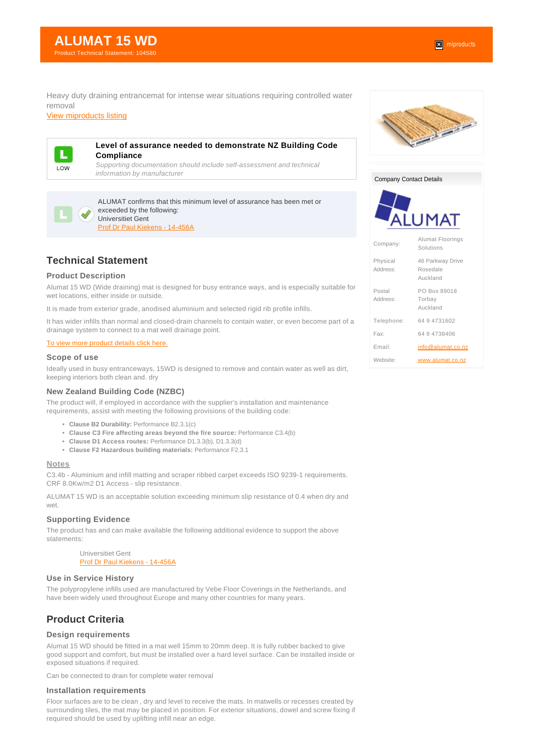Heavy duty draining entrancemat for intense wear situations requiring controlled water removal

[View miproducts listing](https://www.miproducts.co.nz/Search/0/0/ALUMAT-15-WD-iefeb7db9-8c8e-453a-a912-cb996545fc73-6400.htm)



## **Level of assurance needed to demonstrate NZ Building Code Compliance**

Supporting documentation should include self-assessment and technical information by manufacturer



ALUMAT confirms that this minimum level of assurance has been met or exceeded by the following: Universitiet Gent

[Prof Dr Paul Kiekens - 14-456A](websupergoo:/link-19053.htm)

# **Technical Statement**

## **Product Description**

Alumat 15 WD (Wide draining) mat is designed for busy entrance ways, and is especially suitable for wet locations, either inside or outside.

It is made from exterior grade, anodised aluminium and selected rigid rib profile infills.

It has wider infills than normal and closed-drain channels to contain water, or even become part of a drainage system to connect to a mat well drainage point.

#### [To view more product details click here.](http://www.alumat.co.nz/Content/flyers/AL15D-Flyer.pdf)

# **Scope of use**

Ideally used in busy entranceways, 15WD is designed to remove and contain water as well as dirt, keeping interiors both clean and. dry

#### **New Zealand Building Code (NZBC)**

The product will, if employed in accordance with the supplier's installation and maintenance requirements, assist with meeting the following provisions of the building code:

- **Clause B2 Durability:** Performance B2.3.1(c)
- **Clause C3 Fire affecting areas beyond the fire source:** Performance C3.4(b)
- **Clause D1 Access routes:** Performance D1.3.3(b), D1.3.3(d)
- **Clause F2 Hazardous building materials:** Performance F2.3.1

#### **Notes**

C3.4b - Aluminium and infill matting and scraper ribbed carpet exceeds ISO 9239-1 requirements. CRF 8.0Kw/m2 D1 Access - slip resistance.

ALUMAT 15 WD is an acceptable solution exceeding minimum slip resistance of 0.4 when dry and wet.

#### **Supporting Evidence**

The product has and can make available the following additional evidence to support the above statements:

> Universitiet Gent [Prof Dr Paul Kiekens - 14-456A](websupergoo:/link-19053.htm)

#### **Use in Service History**

The polypropylene infills used are manufactured by Vebe Floor Coverings in the Netherlands, and have been widely used throughout Europe and many other countries for many years.

# **Product Criteria**

# **Design requirements**

Alumat 15 WD should be fitted in a mat well 15mm to 20mm deep. It is fully rubber backed to give good support and comfort, but must be installed over a hard level surface. Can be installed inside or exposed situations if required.

Can be connected to drain for complete water removal

## **Installation requirements**

Floor surfaces are to be clean , dry and level to receive the mats. In matwells or recesses created by surrounding tiles, the mat may be placed in position. For exterior situations, dowel and screw fixing if required should be used by uplifting infill near an edge.



Company Contact Details



| Company:             | <b>Alumat Floorings</b><br>Solutions     |  |
|----------------------|------------------------------------------|--|
| Physical<br>Address: | 46 Parkway Drive<br>Rosedale<br>Auckland |  |
| Postal<br>Address:   | PO Box 89018<br>Torbay<br>Auckland       |  |
| Telephone:           | 64 9 4731602                             |  |
| Fax:                 | 64 9 4738406                             |  |
| Fmail <sup>-</sup>   | info@alumat.co.nz                        |  |
| Website <sup>.</sup> | www.alumat.co.nz                         |  |